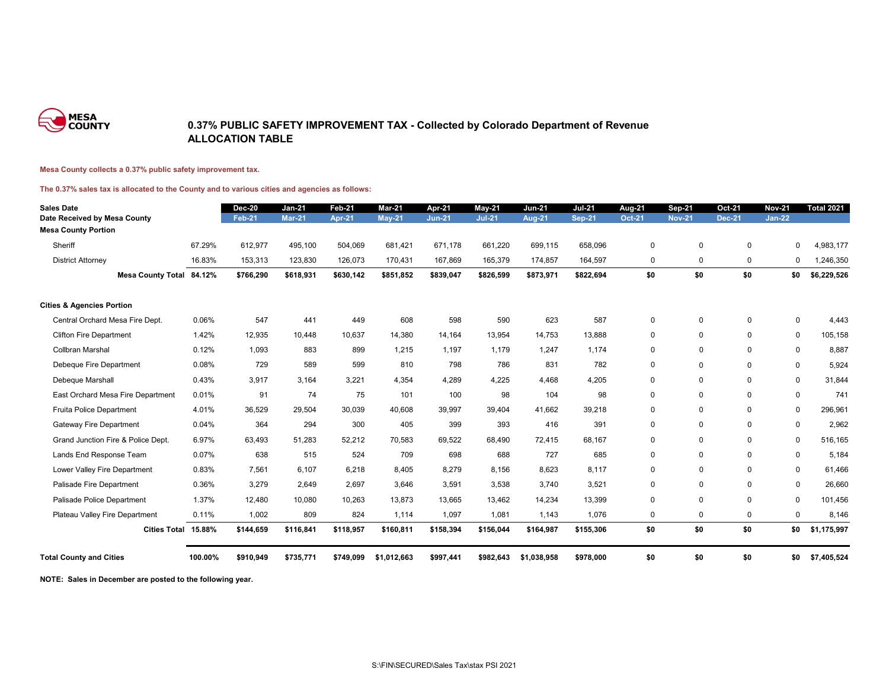

### **0.37% PUBLIC SAFETY IMPROVEMENT TAX - Collected by Colorado Department of Revenue ALLOCATION TABLE**

#### **Mesa County collects a 0.37% public safety improvement tax.**

#### **The 0.37% sales tax is allocated to the County and to various cities and agencies as follows:**

| <b>Sales Date</b>                    |         | <b>Dec-20</b> | <b>Jan-21</b> | <b>Feb-21</b> | <b>Mar-21</b> | Apr-21        | $May-21$      | <b>Jun-21</b> | <b>Jul-21</b> | <b>Aug-21</b> | <b>Sep-21</b> | <b>Oct-21</b> | <b>Nov-21</b> | <b>Total 2021</b> |
|--------------------------------------|---------|---------------|---------------|---------------|---------------|---------------|---------------|---------------|---------------|---------------|---------------|---------------|---------------|-------------------|
| Date Received by Mesa County         |         | <b>Feb-21</b> | <b>Mar-21</b> | <b>Apr-21</b> | <b>May-21</b> | <b>Jun-21</b> | <b>Jul-21</b> | <b>Aug-21</b> | <b>Sep-21</b> | <b>Oct-21</b> | <b>Nov-21</b> | <b>Dec-21</b> | <b>Jan-22</b> |                   |
| <b>Mesa County Portion</b>           |         |               |               |               |               |               |               |               |               |               |               |               |               |                   |
| Sheriff                              | 67.29%  | 612,977       | 495,100       | 504,069       | 681,421       | 671,178       | 661,220       | 699,115       | 658,096       | $\pmb{0}$     | $\mathbf 0$   | $\pmb{0}$     | 0             | 4,983,177         |
| <b>District Attorney</b>             | 16.83%  | 153,313       | 123,830       | 126,073       | 170,431       | 167,869       | 165,379       | 174,857       | 164,597       | $\pmb{0}$     | 0             | $\mathbf 0$   | 0             | 1,246,350         |
| <b>Mesa County Total 84.12%</b>      |         | \$766,290     | \$618,931     | \$630,142     | \$851,852     | \$839,047     | \$826,599     | \$873,971     | \$822,694     | \$0           | \$0           | \$0           | \$0           | \$6,229,526       |
| <b>Cities &amp; Agencies Portion</b> |         |               |               |               |               |               |               |               |               |               |               |               |               |                   |
| Central Orchard Mesa Fire Dept.      | 0.06%   | 547           | 441           | 449           | 608           | 598           | 590           | 623           | 587           | $\mathbf 0$   | $\mathbf{0}$  | $\mathbf 0$   | $\mathbf 0$   | 4,443             |
| <b>Clifton Fire Department</b>       | 1.42%   | 12,935        | 10,448        | 10,637        | 14,380        | 14,164        | 13,954        | 14,753        | 13,888        | $\mathbf 0$   | $\mathbf 0$   | $\mathbf 0$   | $\mathbf 0$   | 105,158           |
| Collbran Marshal                     | 0.12%   | 1,093         | 883           | 899           | 1,215         | 1,197         | 1,179         | 1,247         | 1,174         | $\mathbf 0$   | $\mathbf 0$   | $\Omega$      | $\mathbf 0$   | 8,887             |
| Debeque Fire Department              | 0.08%   | 729           | 589           | 599           | 810           | 798           | 786           | 831           | 782           | $\mathbf 0$   | $\mathbf 0$   | $\mathbf 0$   | $\mathbf 0$   | 5,924             |
| Debeque Marshall                     | 0.43%   | 3,917         | 3,164         | 3,221         | 4,354         | 4,289         | 4,225         | 4,468         | 4,205         | $\mathbf 0$   | $\mathbf 0$   | $\mathbf 0$   | $\mathbf 0$   | 31,844            |
| East Orchard Mesa Fire Department    | 0.01%   | 91            | 74            | 75            | 101           | 100           | 98            | 104           | 98            | $\mathbf 0$   | $\mathbf 0$   | 0             | $\mathbf 0$   | 741               |
| Fruita Police Department             | 4.01%   | 36,529        | 29,504        | 30,039        | 40,608        | 39,997        | 39,404        | 41,662        | 39,218        | $\mathbf 0$   | $\mathbf 0$   | $\mathbf 0$   | $\mathbf 0$   | 296,961           |
| <b>Gateway Fire Department</b>       | 0.04%   | 364           | 294           | 300           | 405           | 399           | 393           | 416           | 391           | $\mathbf 0$   | $\mathbf 0$   | 0             | $\mathbf 0$   | 2,962             |
| Grand Junction Fire & Police Dept.   | 6.97%   | 63,493        | 51,283        | 52,212        | 70,583        | 69,522        | 68,490        | 72,415        | 68,167        | $\mathbf 0$   | $\mathbf 0$   | $\mathbf 0$   | $\pmb{0}$     | 516,165           |
| Lands End Response Team              | 0.07%   | 638           | 515           | 524           | 709           | 698           | 688           | 727           | 685           | $\mathbf 0$   | $\mathbf 0$   | 0             | $\mathbf 0$   | 5,184             |
| Lower Valley Fire Department         | 0.83%   | 7,561         | 6,107         | 6,218         | 8,405         | 8,279         | 8,156         | 8,623         | 8,117         | $\mathbf 0$   | $\mathbf 0$   | $\mathbf 0$   | $\mathbf 0$   | 61,466            |
| Palisade Fire Department             | 0.36%   | 3,279         | 2,649         | 2,697         | 3,646         | 3,591         | 3,538         | 3,740         | 3,521         | $\pmb{0}$     | $\mathbf 0$   | $\mathbf 0$   | $\pmb{0}$     | 26,660            |
| Palisade Police Department           | 1.37%   | 12,480        | 10,080        | 10,263        | 13,873        | 13,665        | 13,462        | 14,234        | 13,399        | $\mathbf 0$   | $\Omega$      | $\mathbf 0$   | $\pmb{0}$     | 101,456           |
| Plateau Valley Fire Department       | 0.11%   | 1,002         | 809           | 824           | 1,114         | 1,097         | 1,081         | 1,143         | 1,076         | $\mathbf 0$   | $\mathbf 0$   | $\mathbf 0$   | 0             | 8,146             |
| Cities Total 15.88%                  |         | \$144,659     | \$116,841     | \$118,957     | \$160,811     | \$158,394     | \$156,044     | \$164,987     | \$155,306     | \$0           | \$0           | \$0           | \$0           | \$1,175,997       |
| <b>Total County and Cities</b>       | 100.00% | \$910,949     | \$735,771     | \$749,099     | \$1,012,663   | \$997,441     | \$982,643     | \$1,038,958   | \$978,000     | \$0           | \$0           | \$0           | \$0           | \$7,405,524       |

**NOTE: Sales in December are posted to the following year.**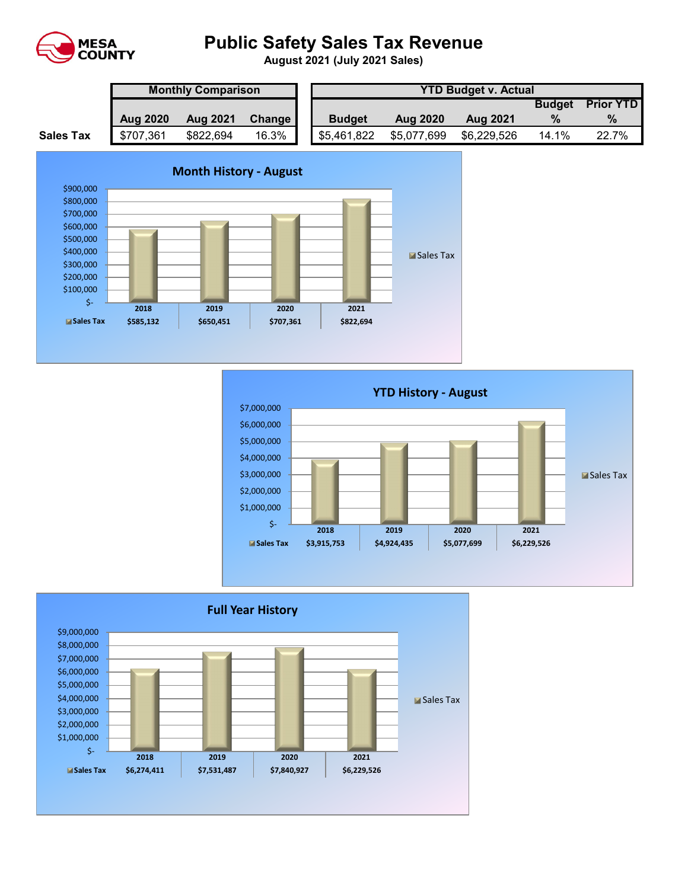

# **Public Safety Sales Tax Revenue**

**August 2021 (July 2021 Sales)** 

|                  | <b>Monthly Comparison</b> |                 |        |  | <b>YTD Budget v. Actual</b> |                 |                 |               |                  |  |  |
|------------------|---------------------------|-----------------|--------|--|-----------------------------|-----------------|-----------------|---------------|------------------|--|--|
|                  |                           |                 |        |  |                             |                 |                 | <b>Budget</b> | <b>Prior YTD</b> |  |  |
|                  | <b>Aug 2020</b>           | <b>Aug 2021</b> | Change |  | <b>Budget</b>               | <b>Aug 2020</b> | <b>Aug 2021</b> |               |                  |  |  |
| <b>Sales Tax</b> | \$707,361                 | \$822,694       | 16.3%  |  | \$5,461,822                 | \$5,077,699     | \$6,229,526     | 14.1%         | 22.7%            |  |  |